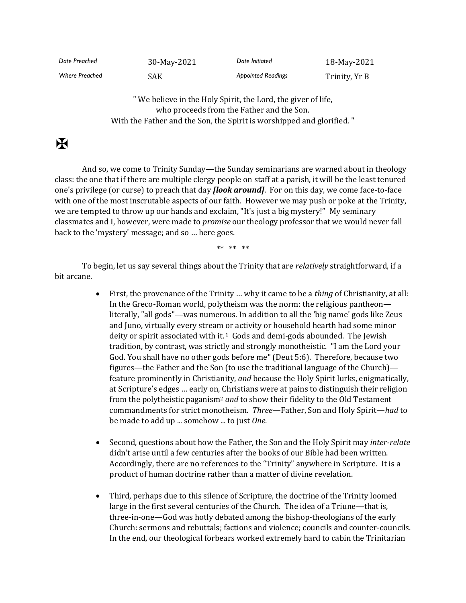| Date Preached         | 30-May-2021 | Date Initiated            | 18-May-2021   |
|-----------------------|-------------|---------------------------|---------------|
| <b>Where Preached</b> | SAK         | <b>Appointed Readings</b> | Trinity, Yr B |

" We believe in the Holy Spirit, the Lord, the giver of life, who proceeds from the Father and the Son. With the Father and the Son, the Spirit is worshipped and glorified. "

## $\mathbf K$

And so, we come to Trinity Sunday—the Sunday seminarians are warned about in theology class: the one that if there are multiple clergy people on staff at a parish, it will be the least tenured one's privilege (or curse) to preach that day *[look around]*. For on this day, we come face-to-face with one of the most inscrutable aspects of our faith. However we may push or poke at the Trinity, we are tempted to throw up our hands and exclaim, "It's just a big mystery!" My seminary classmates and I, however, were made to *promise* our theology professor that we would never fall back to the 'mystery' message; and so … here goes.

\*\* \*\* \*\*

To begin, let us say several things about the Trinity that are *relatively* straightforward, if a bit arcane.

- First, the provenance of the Trinity … why it came to be a *thing* of Christianity, at all: In the Greco-Roman world, polytheism was the norm: the religious pantheon literally, "all gods"—was numerous. In addition to all the 'big name' gods like Zeus and Juno, virtually every stream or activity or household hearth had some minor deity or spirit associated with it. $1$  Gods and demi-gods abounded. The Jewish tradition, by contrast, was strictly and strongly monotheistic. "I am the Lord your God. You shall have no other gods before me" (Deut 5:6). Therefore, because two figures—the Father and the Son (to use the traditional language of the Church) feature prominently in Christianity, *and* because the Holy Spirit lurks, enigmatically, at Scripture's edges … early on, Christians were at pains to distinguish their religion from the polytheistic paganism<sup>2</sup> *and* to show their fidelity to the Old Testament commandments for strict monotheism. *Three*—Father, Son and Holy Spirit—*had* to be made to add up ... somehow ... to just *One*.
- Second, questions about how the Father, the Son and the Holy Spirit may *inter-relate* didn't arise until a few centuries after the books of our Bible had been written. Accordingly, there are no references to the "Trinity" anywhere in Scripture. It is a product of human doctrine rather than a matter of divine revelation.
- Third, perhaps due to this silence of Scripture, the doctrine of the Trinity loomed large in the first several centuries of the Church. The idea of a Triune—that is, three-in-one—God was hotly debated among the bishop-theologians of the early Church: sermons and rebuttals; factions and violence; councils and counter-councils. In the end, our theological forbears worked extremely hard to cabin the Trinitarian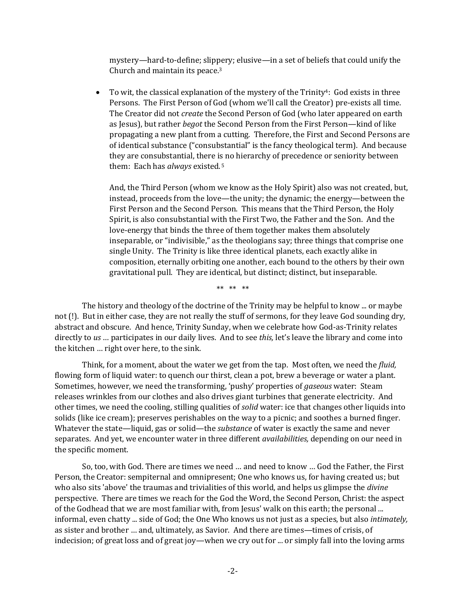mystery—hard-to-define; slippery; elusive—in a set of beliefs that could unify the Church and maintain its peace.<sup>3</sup>

• To wit, the classical explanation of the mystery of the Trinity<sup>4</sup>: God exists in three Persons. The First Person of God (whom we'll call the Creator) pre-exists all time. The Creator did not *create* the Second Person of God (who later appeared on earth as Jesus), but rather *begot* the Second Person from the First Person—kind of like propagating a new plant from a cutting. Therefore, the First and Second Persons are of identical substance ("consubstantial" is the fancy theological term). And because they are consubstantial, there is no hierarchy of precedence or seniority between them: Each has *always* existed. <sup>5</sup>

And, the Third Person (whom we know as the Holy Spirit) also was not created, but, instead, proceeds from the love—the unity; the dynamic; the energy—between the First Person and the Second Person. This means that the Third Person, the Holy Spirit, is also consubstantial with the First Two, the Father and the Son. And the love-energy that binds the three of them together makes them absolutely inseparable, or "indivisible," as the theologians say; three things that comprise one single Unity. The Trinity is like three identical planets, each exactly alike in composition, eternally orbiting one another, each bound to the others by their own gravitational pull. They are identical, but distinct; distinct, but inseparable.

\*\* \*\* \*\*

The history and theology of the doctrine of the Trinity may be helpful to know ... or maybe not (!). But in either case, they are not really the stuff of sermons, for they leave God sounding dry, abstract and obscure. And hence, Trinity Sunday, when we celebrate how God-as-Trinity relates directly to *us* … participates in our daily lives. And to see *this,* let's leave the library and come into the kitchen … right over here, to the sink.

Think, for a moment, about the water we get from the tap. Most often, we need the *fluid,* flowing form of liquid water: to quench our thirst, clean a pot, brew a beverage or water a plant. Sometimes, however, we need the transforming, 'pushy' properties of *gaseous* water: Steam releases wrinkles from our clothes and also drives giant turbines that generate electricity. And other times, we need the cooling, stilling qualities of *solid* water: ice that changes other liquids into solids (like ice cream); preserves perishables on the way to a picnic; and soothes a burned finger. Whatever the state—liquid, gas or solid—the *substance* of water is exactly the same and never separates. And yet, we encounter water in three different *availabilities,* depending on our need in the specific moment.

So, too, with God. There are times we need … and need to know … God the Father, the First Person, the Creator: sempiternal and omnipresent; One who knows us, for having created us; but who also sits 'above' the traumas and trivialities of this world, and helps us glimpse the *divine* perspective. There are times we reach for the God the Word, the Second Person, Christ: the aspect of the Godhead that we are most familiar with, from Jesus' walk on this earth; the personal ... informal, even chatty ... side of God; the One Who knows us not just as a species, but also *intimately,* as sister and brother … and, ultimately, as Savior. And there are times—times of crisis, of indecision; of great loss and of great joy—when we cry out for ... or simply fall into the loving arms